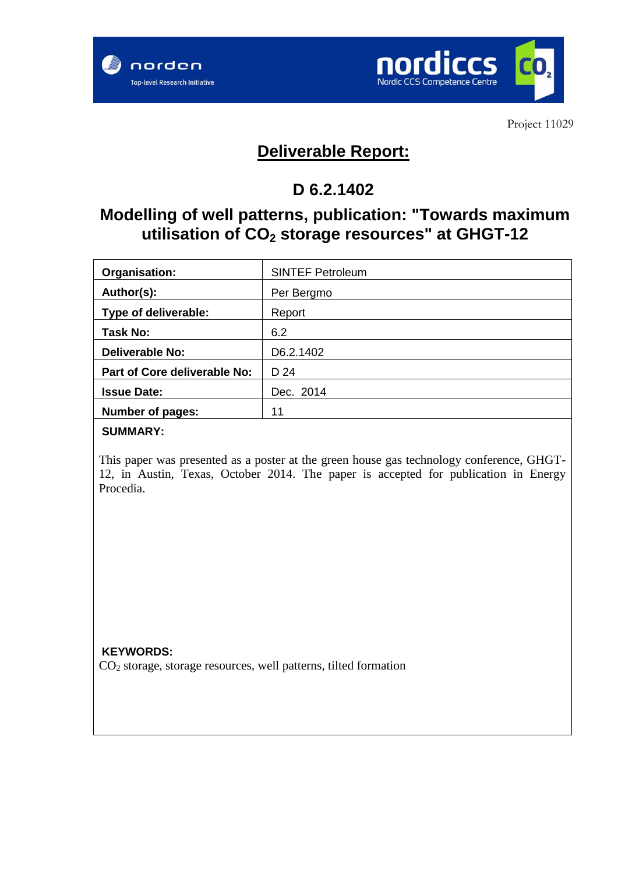



Project 11029

# **Deliverable Report:**

# **D 6.2.1402**

## **Modelling of well patterns, publication: "Towards maximum utilisation of CO<sup>2</sup> storage resources" at GHGT-12**

| Organisation:                | <b>SINTEF Petroleum</b> |
|------------------------------|-------------------------|
| Author(s):                   | Per Bergmo              |
| Type of deliverable:         | Report                  |
| Task No:                     | 6.2                     |
| <b>Deliverable No:</b>       | D6.2.1402               |
| Part of Core deliverable No: | D 24                    |
| <b>Issue Date:</b>           | Dec. 2014               |
| Number of pages:             | 11                      |

## **SUMMARY:**

This paper was presented as a poster at the green house gas technology conference, GHGT-12, in Austin, Texas, October 2014. The paper is accepted for publication in Energy Procedia.

**KEYWORDS:**  $CO<sub>2</sub>$  storage, storage resources, well patterns, tilted formation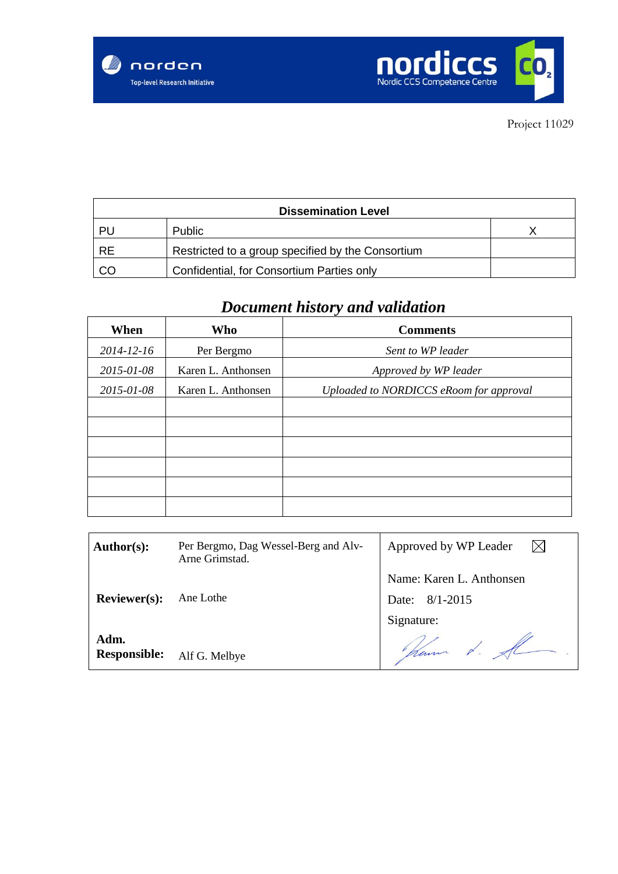



| <b>Dissemination Level</b> |                                                   |  |  |  |
|----------------------------|---------------------------------------------------|--|--|--|
| PU                         | Public                                            |  |  |  |
| <b>RE</b>                  | Restricted to a group specified by the Consortium |  |  |  |
| CO                         | Confidential, for Consortium Parties only         |  |  |  |

# *Document history and validation*

| When             | Who                | <b>Comments</b>                         |
|------------------|--------------------|-----------------------------------------|
| $2014 - 12 - 16$ | Per Bergmo         | Sent to WP leader                       |
| 2015-01-08       | Karen L. Anthonsen | Approved by WP leader                   |
| 2015-01-08       | Karen L. Anthonsen | Uploaded to NORDICCS eRoom for approval |
|                  |                    |                                         |
|                  |                    |                                         |
|                  |                    |                                         |
|                  |                    |                                         |
|                  |                    |                                         |
|                  |                    |                                         |

| Author(s):                  | Per Bergmo, Dag Wessel-Berg and Alv-<br>Arne Grimstad. | Approved by WP Leader    |
|-----------------------------|--------------------------------------------------------|--------------------------|
|                             |                                                        | Name: Karen L. Anthonsen |
| <b>Reviewer(s):</b>         | Ane Lothe                                              | Date: 8/1-2015           |
|                             |                                                        | Signature:               |
| Adm.<br><b>Responsible:</b> | Alf G. Melbye                                          | ham t. A                 |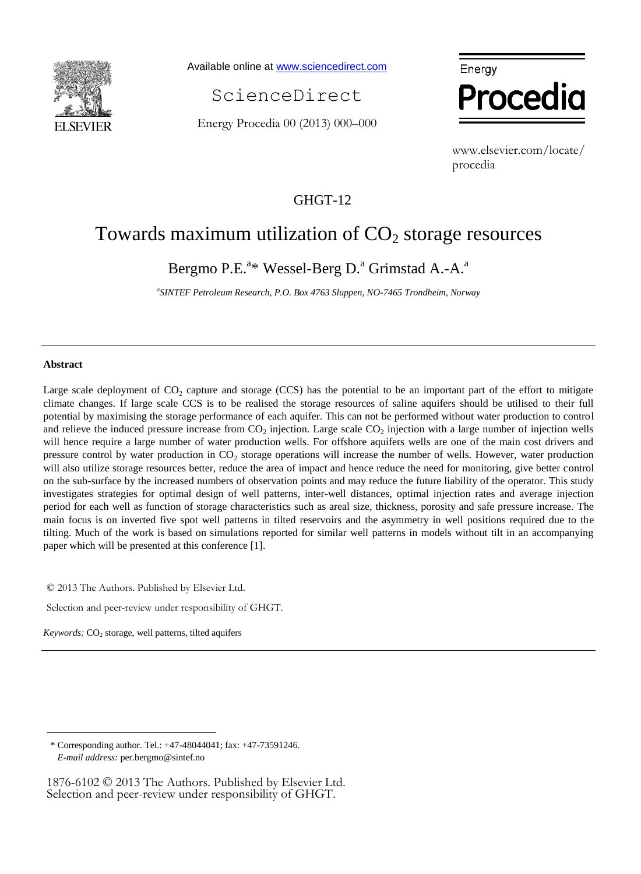

Available online a[t www.sciencedirect.com](http://www.sciencedirect.com/science/journal/22126716)

ScienceDirect

Energy Procedia 00 (2013) 000–000



www.elsevier.com/locate/ procedia

## GHGT-12

## Towards maximum utilization of  $CO<sub>2</sub>$  storage resources

Bergmo P.E.<sup>a\*</sup> Wessel-Berg D.<sup>a</sup> Grimstad A.-A.<sup>a</sup>

*a SINTEF Petroleum Research, P.O. Box 4763 Sluppen, NO-7465 Trondheim, Norway*

## **Abstract**

<u>.</u>

Large scale deployment of  $CO_2$  capture and storage (CCS) has the potential to be an important part of the effort to mitigate climate changes. If large scale CCS is to be realised the storage resources of saline aquifers should be utilised to their full potential by maximising the storage performance of each aquifer. This can not be performed without water production to control and relieve the induced pressure increase from  $CO_2$  injection. Large scale  $CO_2$  injection with a large number of injection wells will hence require a large number of water production wells. For offshore aquifers wells are one of the main cost drivers and pressure control by water production in  $CO<sub>2</sub>$  storage operations will increase the number of wells. However, water production will also utilize storage resources better, reduce the area of impact and hence reduce the need for monitoring, give better control on the sub-surface by the increased numbers of observation points and may reduce the future liability of the operator. This study investigates strategies for optimal design of well patterns, inter-well distances, optimal injection rates and average injection period for each well as function of storage characteristics such as areal size, thickness, porosity and safe pressure increase. The main focus is on inverted five spot well patterns in tilted reservoirs and the asymmetry in well positions required due to the tilting. Much of the work is based on simulations reported for similar well patterns in models without tilt in an accompanying paper which will be presented at this conference [1].

© 2013 The Authors. Published by Elsevier Ltd.

Selection and peer-review under responsibility of GHGT.

Keywords: CO<sub>2</sub> storage, well patterns, tilted aquifers

1876-6102 © 2013 The Authors. Published by Elsevier Ltd. Selection and peer-review under responsibility of GHGT.

<sup>\*</sup> Corresponding author. Tel.: +47-48044041; fax: +47-73591246. *E-mail address:* per.bergmo@sintef.no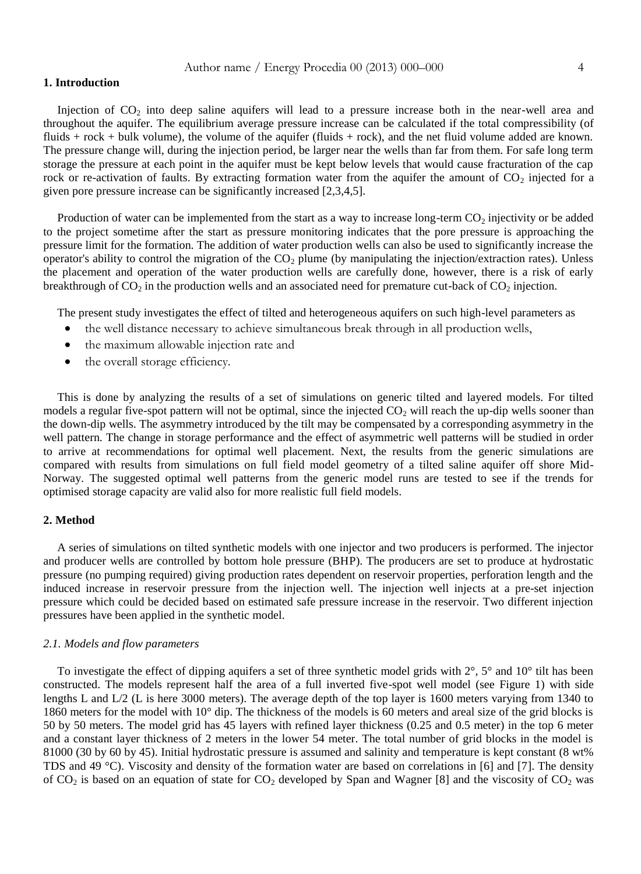#### **1. Introduction**

Injection of  $CO<sub>2</sub>$  into deep saline aquifers will lead to a pressure increase both in the near-well area and throughout the aquifer. The equilibrium average pressure increase can be calculated if the total compressibility (of fluids + rock + bulk volume), the volume of the aquifer (fluids + rock), and the net fluid volume added are known. The pressure change will, during the injection period, be larger near the wells than far from them. For safe long term storage the pressure at each point in the aquifer must be kept below levels that would cause fracturation of the cap rock or re-activation of faults. By extracting formation water from the aquifer the amount of  $CO<sub>2</sub>$  injected for a given pore pressure increase can be significantly increased [2,3,4,5].

Production of water can be implemented from the start as a way to increase long-term  $CO<sub>2</sub>$  injectivity or be added to the project sometime after the start as pressure monitoring indicates that the pore pressure is approaching the pressure limit for the formation. The addition of water production wells can also be used to significantly increase the operator's ability to control the migration of the  $CO<sub>2</sub>$  plume (by manipulating the injection/extraction rates). Unless the placement and operation of the water production wells are carefully done, however, there is a risk of early breakthrough of CO<sub>2</sub> in the production wells and an associated need for premature cut-back of CO<sub>2</sub> injection.

The present study investigates the effect of tilted and heterogeneous aquifers on such high-level parameters as

- the well distance necessary to achieve simultaneous break through in all production wells,
- the maximum allowable injection rate and
- the overall storage efficiency.

This is done by analyzing the results of a set of simulations on generic tilted and layered models. For tilted models a regular five-spot pattern will not be optimal, since the injected  $CO<sub>2</sub>$  will reach the up-dip wells sooner than the down-dip wells. The asymmetry introduced by the tilt may be compensated by a corresponding asymmetry in the well pattern. The change in storage performance and the effect of asymmetric well patterns will be studied in order to arrive at recommendations for optimal well placement. Next, the results from the generic simulations are compared with results from simulations on full field model geometry of a tilted saline aquifer off shore Mid-Norway. The suggested optimal well patterns from the generic model runs are tested to see if the trends for optimised storage capacity are valid also for more realistic full field models.

## **2. Method**

A series of simulations on tilted synthetic models with one injector and two producers is performed. The injector and producer wells are controlled by bottom hole pressure (BHP). The producers are set to produce at hydrostatic pressure (no pumping required) giving production rates dependent on reservoir properties, perforation length and the induced increase in reservoir pressure from the injection well. The injection well injects at a pre-set injection pressure which could be decided based on estimated safe pressure increase in the reservoir. Two different injection pressures have been applied in the synthetic model.

#### *2.1. Models and flow parameters*

To investigate the effect of dipping aquifers a set of three synthetic model grids with  $2^\circ$ ,  $5^\circ$  and  $10^\circ$  tilt has been constructed. The models represent half the area of a full inverted five-spot well model (see [Figure 1\)](#page-4-0) with side lengths L and L/2 (L is here 3000 meters). The average depth of the top layer is 1600 meters varying from 1340 to 1860 meters for the model with 10° dip. The thickness of the models is 60 meters and areal size of the grid blocks is 50 by 50 meters. The model grid has 45 layers with refined layer thickness (0.25 and 0.5 meter) in the top 6 meter and a constant layer thickness of 2 meters in the lower 54 meter. The total number of grid blocks in the model is 81000 (30 by 60 by 45). Initial hydrostatic pressure is assumed and salinity and temperature is kept constant (8 wt% TDS and 49 °C). Viscosity and density of the formation water are based on correlations in [6] and [7]. The density of  $CO_2$  is based on an equation of state for  $CO_2$  developed by Span and Wagner [8] and the viscosity of  $CO_2$  was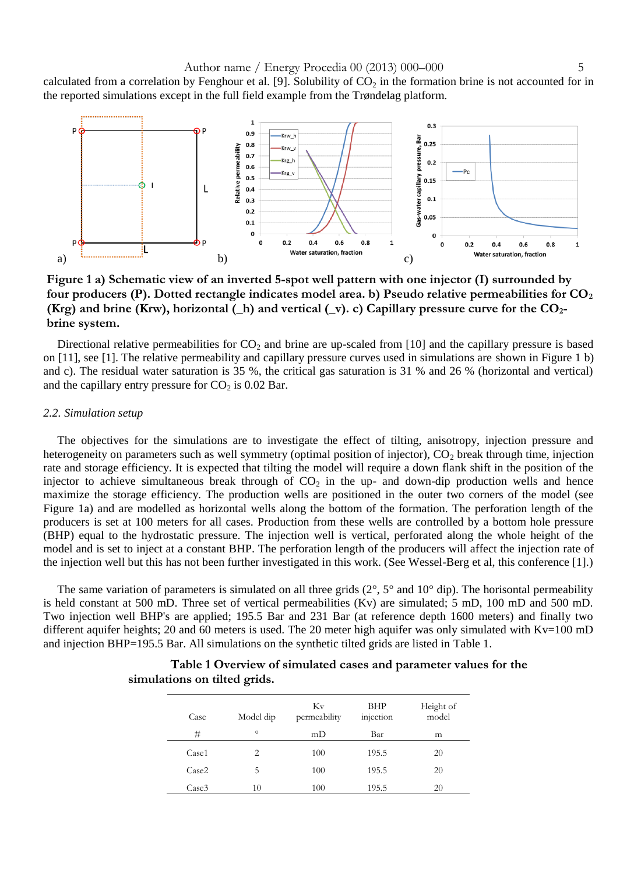calculated from a correlation by Fenghour et al. [9]. Solubility of  $CO<sub>2</sub>$  in the formation brine is not accounted for in the reported simulations except in the full field example from the Trøndelag platform.



<span id="page-4-0"></span>**Figure 1 a) Schematic view of an inverted 5-spot well pattern with one injector (I) surrounded by four producers (P). Dotted rectangle indicates model area. b) Pseudo relative permeabilities for CO<sup>2</sup> (Krg) and brine (Krw), horizontal (\_h) and vertical (\_v). c) Capillary pressure curve for the CO2 brine system.**

Directional relative permeabilities for  $CO<sub>2</sub>$  and brine are up-scaled from [10] and the capillary pressure is based on [11], see [1]. The relative permeability and capillary pressure curves used in simulations are shown in [Figure 1](#page-4-0) b) and c). The residual water saturation is 35 %, the critical gas saturation is 31 % and 26 % (horizontal and vertical) and the capillary entry pressure for  $CO<sub>2</sub>$  is 0.02 Bar.

#### *2.2. Simulation setup*

The objectives for the simulations are to investigate the effect of tilting, anisotropy, injection pressure and heterogeneity on parameters such as well symmetry (optimal position of injector),  $CO<sub>2</sub>$  break through time, injection rate and storage efficiency. It is expected that tilting the model will require a down flank shift in the position of the injector to achieve simultaneous break through of  $CO<sub>2</sub>$  in the up- and down-dip production wells and hence maximize the storage efficiency. The production wells are positioned in the outer two corners of the model (see [Figure 1a](#page-4-0)) and are modelled as horizontal wells along the bottom of the formation. The perforation length of the producers is set at 100 meters for all cases. Production from these wells are controlled by a bottom hole pressure (BHP) equal to the hydrostatic pressure. The injection well is vertical, perforated along the whole height of the model and is set to inject at a constant BHP. The perforation length of the producers will affect the injection rate of the injection well but this has not been further investigated in this work. (See Wessel-Berg et al, this conference [1].)

<span id="page-4-1"></span>The same variation of parameters is simulated on all three grids  $(2^{\circ}, 5^{\circ})$  and  $10^{\circ}$  dip). The horisontal permeability is held constant at 500 mD. Three set of vertical permeabilities (Kv) are simulated; 5 mD, 100 mD and 500 mD. Two injection well BHP's are applied; 195.5 Bar and 231 Bar (at reference depth 1600 meters) and finally two different aquifer heights; 20 and 60 meters is used. The 20 meter high aquifer was only simulated with Kv=100 mD and injection BHP=195.5 Bar. All simulations on the synthetic tilted grids are listed in [Table 1.](#page-4-1)

| Case              | Model dip                | Kv<br>permeability | <b>BHP</b><br>injection | Height of<br>model |
|-------------------|--------------------------|--------------------|-------------------------|--------------------|
| #                 | $\circ$                  | mD                 | Bar                     | m                  |
| Case1             | $\mathfrak{D}_{1}^{(1)}$ | 100                | 195.5                   | 20                 |
| Case <sub>2</sub> | 5                        | 100                | 195.5                   | 20                 |
| Case <sub>3</sub> | 10                       | 100                | 195.5                   | 20                 |

## **Table 1 Overview of simulated cases and parameter values for the simulations on tilted grids.**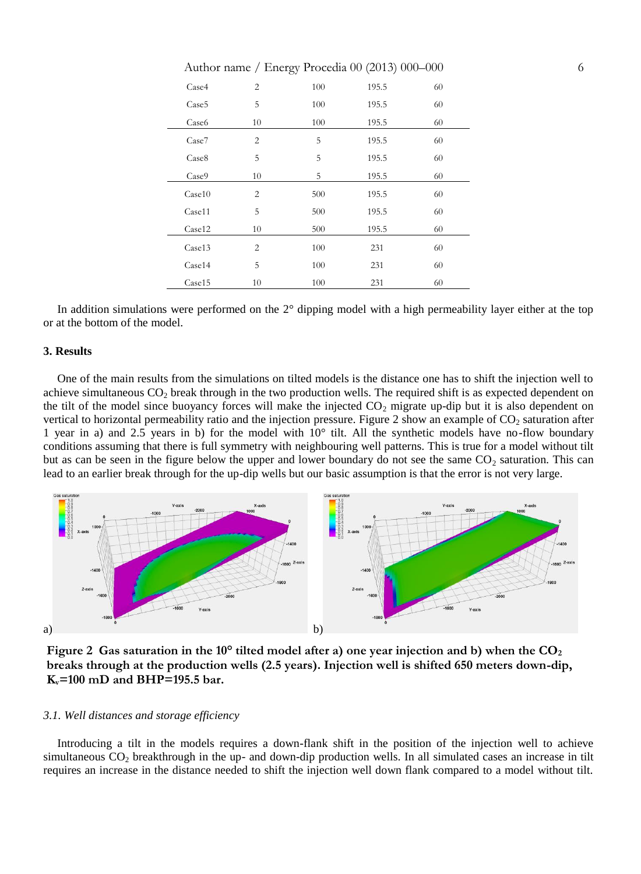| Case4             | $\overline{2}$ | 100 | 195.5 | 60 |
|-------------------|----------------|-----|-------|----|
| Case <sub>5</sub> | 5              | 100 | 195.5 | 60 |
| Case <sub>6</sub> | 10             | 100 | 195.5 | 60 |
| Case7             | $\overline{c}$ | 5   | 195.5 | 60 |
| Case <sub>8</sub> | 5              | 5   | 195.5 | 60 |
| Case9             | 10             | 5   | 195.5 | 60 |
| Case 10           | $\overline{2}$ | 500 | 195.5 | 60 |
| Case11            | 5              | 500 | 195.5 | 60 |
| Case12            | 10             | 500 | 195.5 | 60 |
| Case13            | $\overline{2}$ | 100 | 231   | 60 |
| Case14            | 5              | 100 | 231   | 60 |
| Case15            | 10             | 100 | 231   | 60 |

In addition simulations were performed on the 2° dipping model with a high permeability layer either at the top or at the bottom of the model.

### **3. Results**

One of the main results from the simulations on tilted models is the distance one has to shift the injection well to achieve simultaneous  $CO<sub>2</sub>$  break through in the two production wells. The required shift is as expected dependent on the tilt of the model since buoyancy forces will make the injected  $CO<sub>2</sub>$  migrate up-dip but it is also dependent on vertical to horizontal permeability ratio and the injection pressure. [Figure 2](#page-5-0) show an example of  $CO_2$  saturation after 1 year in a) and 2.5 years in b) for the model with 10° tilt. All the synthetic models have no-flow boundary conditions assuming that there is full symmetry with neighbouring well patterns. This is true for a model without tilt but as can be seen in the figure below the upper and lower boundary do not see the same  $CO<sub>2</sub>$  saturation. This can lead to an earlier break through for the up-dip wells but our basic assumption is that the error is not very large.



<span id="page-5-0"></span>**Figure 2 Gas saturation in the 10° tilted model after a) one year injection and b) when the CO<sup>2</sup> breaks through at the production wells (2.5 years). Injection well is shifted 650 meters down-dip, Kv=100 mD and BHP=195.5 bar.** 

### *3.1. Well distances and storage efficiency*

Introducing a tilt in the models requires a down-flank shift in the position of the injection well to achieve simultaneous CO<sub>2</sub> breakthrough in the up- and down-dip production wells. In all simulated cases an increase in tilt requires an increase in the distance needed to shift the injection well down flank compared to a model without tilt.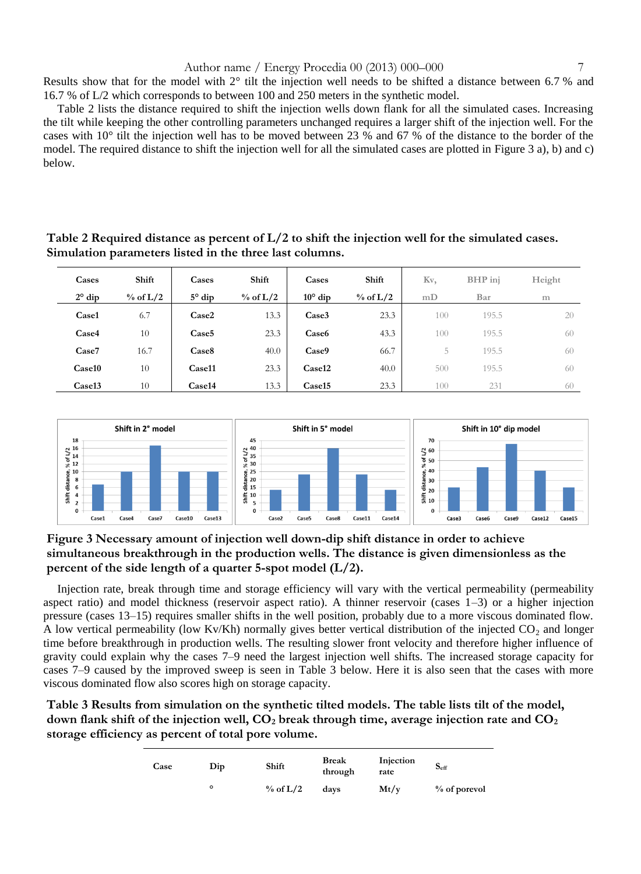Results show that for the model with 2° tilt the injection well needs to be shifted a distance between 6.7 % and 16.7 % of L/2 which corresponds to between 100 and 250 meters in the synthetic model.

[Table 2](#page-6-0) lists the distance required to shift the injection wells down flank for all the simulated cases. Increasing the tilt while keeping the other controlling parameters unchanged requires a larger shift of the injection well. For the cases with 10° tilt the injection well has to be moved between 23 % and 67 % of the distance to the border of the model. The required distance to shift the injection well for all the simulated cases are plotted in [Figure 3](#page-6-1) a), b) and c) below.

<span id="page-6-0"></span>**Table 2 Required distance as percent of L/2 to shift the injection well for the simulated cases. Simulation parameters listed in the three last columns.**

| Cases           | Shift       | Cases             | Shift         | Cases             | Shift         | Kv, | BHP inj | Height |
|-----------------|-------------|-------------------|---------------|-------------------|---------------|-----|---------|--------|
| $2^{\circ}$ dip | $\%$ of L/2 | $5^\circ$ dip     | $\%$ of $L/2$ | $10^{\circ}$ dip  | $\%$ of $L/2$ | mD  | Bar     | m      |
| Case1           | 6.7         | Case2             | 13.3          | Case3             | 23.3          | 100 | 195.5   | 20     |
| Case4           | 10          | Case <sub>5</sub> | 23.3          | Case <sub>6</sub> | 43.3          | 100 | 195.5   | 60     |
| Case7           | 16.7        | Case <sub>8</sub> | 40.0          | Case9             | 66.7          | 5   | 195.5   | 60     |
| Case10          | 10          | Case11            | 23.3          | Case12            | 40.0          | 500 | 195.5   | 60     |
| Case13          | 10          | Case14            | 13.3          | Case15            | 23.3          | 100 | 231     | 60     |



## <span id="page-6-1"></span>**Figure 3 Necessary amount of injection well down-dip shift distance in order to achieve simultaneous breakthrough in the production wells. The distance is given dimensionless as the percent of the side length of a quarter 5-spot model (L/2).**

Injection rate, break through time and storage efficiency will vary with the vertical permeability (permeability aspect ratio) and model thickness (reservoir aspect ratio). A thinner reservoir (cases 1–3) or a higher injection pressure (cases 13–15) requires smaller shifts in the well position, probably due to a more viscous dominated flow. A low vertical permeability (low Kv/Kh) normally gives better vertical distribution of the injected  $CO<sub>2</sub>$  and longer time before breakthrough in production wells. The resulting slower front velocity and therefore higher influence of gravity could explain why the cases 7–9 need the largest injection well shifts. The increased storage capacity for cases 7–9 caused by the improved sweep is seen in [Table 3](#page-6-2) below. Here it is also seen that the cases with more viscous dominated flow also scores high on storage capacity.

<span id="page-6-2"></span>**Table 3 Results from simulation on the synthetic tilted models. The table lists tilt of the model, down flank shift of the injection well, CO<sup>2</sup> break through time, average injection rate and CO<sup>2</sup> storage efficiency as percent of total pore volume.**

| Case | Dip | Shift       | <b>Break</b><br>through | Injection<br>rate | $S_{\rm eff}$  |
|------|-----|-------------|-------------------------|-------------------|----------------|
|      | ۰   | $\%$ of L/2 | davs                    | Mt/v              | $%$ of porevol |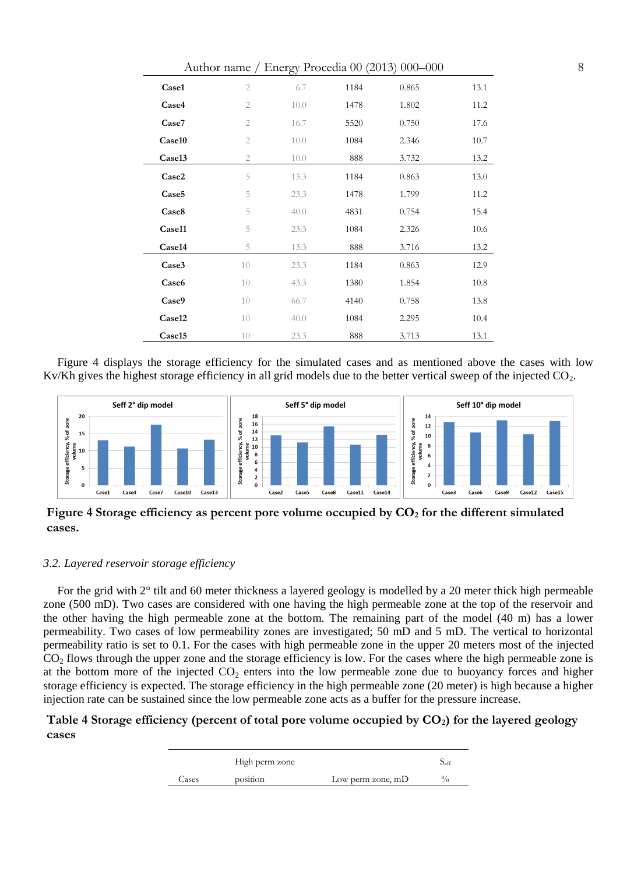|                   |                |      |      | Author name / Energy Procedia 00 (2013) 000-000 |      |
|-------------------|----------------|------|------|-------------------------------------------------|------|
| Case1             | $\mathbf{2}$   | 6.7  | 1184 | 0.865                                           | 13.1 |
| Case4             | $\mathbf{2}$   | 10.0 | 1478 | 1.802                                           | 11.2 |
| Case7             | $\mathbf{2}$   | 16.7 | 5520 | 0.750                                           | 17.6 |
| Case10            | $\mathbf{2}$   | 10.0 | 1084 | 2.346                                           | 10.7 |
| Case13            | $\overline{2}$ | 10.0 | 888  | 3.732                                           | 13.2 |
| Case2             | 5              | 13.3 | 1184 | 0.863                                           | 13.0 |
| Case <sub>5</sub> | 5              | 23.3 | 1478 | 1.799                                           | 11.2 |
| Case8             | 5              | 40.0 | 4831 | 0.754                                           | 15.4 |
| Case11            | 5              | 23.3 | 1084 | 2.326                                           | 10.6 |
| Case14            | 5              | 13.3 | 888  | 3.716                                           | 13.2 |
| Case3             | 10             | 23.3 | 1184 | 0.863                                           | 12.9 |
| Case6             | 10             | 43.3 | 1380 | 1.854                                           | 10.8 |
| Case9             | 10             | 66.7 | 4140 | 0.758                                           | 13.8 |
| Case12            | 10             | 40.0 | 1084 | 2.295                                           | 10.4 |
| Case15            | 10             | 23.3 | 888  | 3.713                                           | 13.1 |

[Figure 4](#page-7-0) displays the storage efficiency for the simulated cases and as mentioned above the cases with low Kv/Kh gives the highest storage efficiency in all grid models due to the better vertical sweep of the injected  $CO<sub>2</sub>$ .



<span id="page-7-0"></span>**Figure 4 Storage efficiency as percent pore volume occupied by CO<sup>2</sup> for the different simulated cases.**

## *3.2. Layered reservoir storage efficiency*

For the grid with 2° tilt and 60 meter thickness a layered geology is modelled by a 20 meter thick high permeable zone (500 mD). Two cases are considered with one having the high permeable zone at the top of the reservoir and the other having the high permeable zone at the bottom. The remaining part of the model (40 m) has a lower permeability. Two cases of low permeability zones are investigated; 50 mD and 5 mD. The vertical to horizontal permeability ratio is set to 0.1. For the cases with high permeable zone in the upper 20 meters most of the injected  $CO<sub>2</sub>$  flows through the upper zone and the storage efficiency is low. For the cases where the high permeable zone is at the bottom more of the injected  $CO<sub>2</sub>$  enters into the low permeable zone due to buoyancy forces and higher storage efficiency is expected. The storage efficiency in the high permeable zone (20 meter) is high because a higher injection rate can be sustained since the low permeable zone acts as a buffer for the pressure increase.

## <span id="page-7-1"></span>**Table 4 Storage efficiency (percent of total pore volume occupied by CO2) for the layered geology cases**

|       | High perm zone |                     | $S_{\rm eff}$ |
|-------|----------------|---------------------|---------------|
| ases: | position       | Low perm zone, $mD$ | $\frac{0}{0}$ |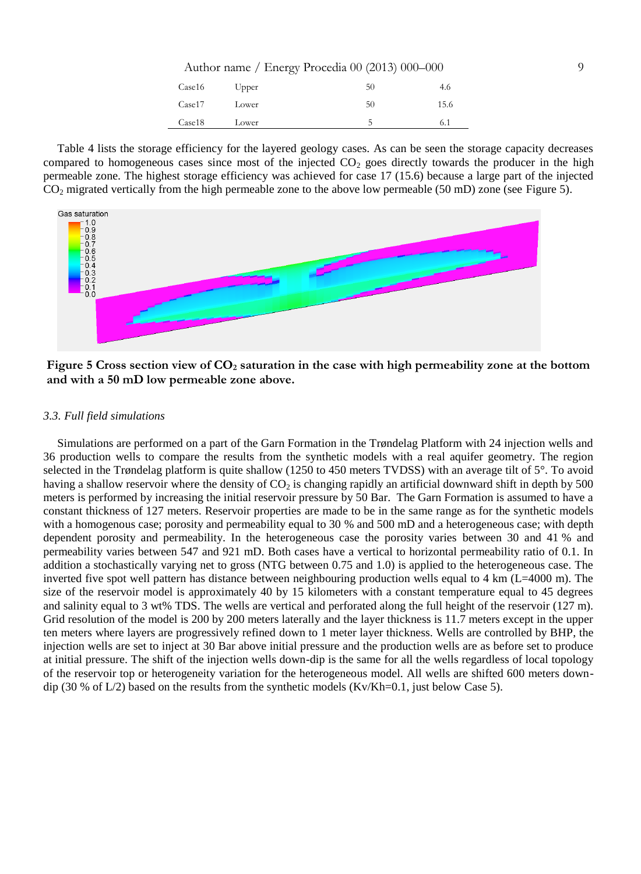| Case16 | Upper | 50 | 4.6  |
|--------|-------|----|------|
| Case17 | Lower | 50 | 15.6 |
| Case18 | Lower | C  | 6.1  |

[Table 4](#page-7-1) lists the storage efficiency for the layered geology cases. As can be seen the storage capacity decreases compared to homogeneous cases since most of the injected  $CO<sub>2</sub>$  goes directly towards the producer in the high permeable zone. The highest storage efficiency was achieved for case 17 (15.6) because a large part of the injected CO<sup>2</sup> migrated vertically from the high permeable zone to the above low permeable (50 mD) zone (see [Figure 5\)](#page-8-0).



<span id="page-8-0"></span>**Figure 5 Cross section view of CO<sup>2</sup> saturation in the case with high permeability zone at the bottom and with a 50 mD low permeable zone above.** 

### *3.3. Full field simulations*

Simulations are performed on a part of the Garn Formation in the Trøndelag Platform with 24 injection wells and 36 production wells to compare the results from the synthetic models with a real aquifer geometry. The region selected in the Trøndelag platform is quite shallow (1250 to 450 meters TVDSS) with an average tilt of 5°. To avoid having a shallow reservoir where the density of  $CO<sub>2</sub>$  is changing rapidly an artificial downward shift in depth by 500 meters is performed by increasing the initial reservoir pressure by 50 Bar. The Garn Formation is assumed to have a constant thickness of 127 meters. Reservoir properties are made to be in the same range as for the synthetic models with a homogenous case; porosity and permeability equal to 30 % and 500 mD and a heterogeneous case; with depth dependent porosity and permeability. In the heterogeneous case the porosity varies between 30 and 41 % and permeability varies between 547 and 921 mD. Both cases have a vertical to horizontal permeability ratio of 0.1. In addition a stochastically varying net to gross (NTG between 0.75 and 1.0) is applied to the heterogeneous case. The inverted five spot well pattern has distance between neighbouring production wells equal to 4 km (L=4000 m). The size of the reservoir model is approximately 40 by 15 kilometers with a constant temperature equal to 45 degrees and salinity equal to 3 wt% TDS. The wells are vertical and perforated along the full height of the reservoir (127 m). Grid resolution of the model is 200 by 200 meters laterally and the layer thickness is 11.7 meters except in the upper ten meters where layers are progressively refined down to 1 meter layer thickness. Wells are controlled by BHP, the injection wells are set to inject at 30 Bar above initial pressure and the production wells are as before set to produce at initial pressure. The shift of the injection wells down-dip is the same for all the wells regardless of local topology of the reservoir top or heterogeneity variation for the heterogeneous model. All wells are shifted 600 meters downdip (30 % of  $L/2$ ) based on the results from the synthetic models (Kv/Kh=0.1, just below Case 5).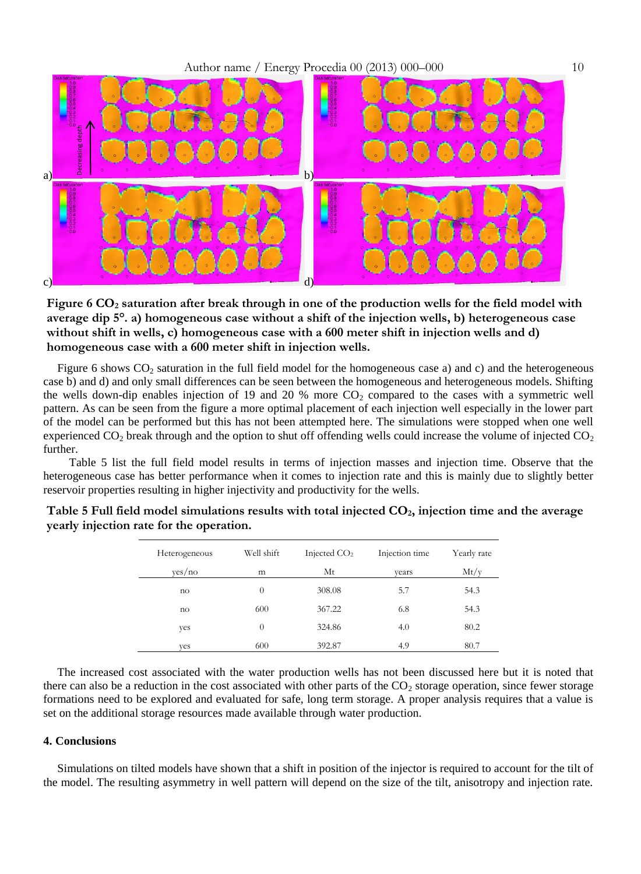

<span id="page-9-0"></span>**Figure 6 CO<sup>2</sup> saturation after break through in one of the production wells for the field model with average dip 5°. a) homogeneous case without a shift of the injection wells, b) heterogeneous case without shift in wells, c) homogeneous case with a 600 meter shift in injection wells and d) homogeneous case with a 600 meter shift in injection wells.** 

[Figure 6](#page-9-0) shows  $CO<sub>2</sub>$  saturation in the full field model for the homogeneous case a) and c) and the heterogeneous case b) and d) and only small differences can be seen between the homogeneous and heterogeneous models. Shifting the wells down-dip enables injection of 19 and 20 % more  $CO<sub>2</sub>$  compared to the cases with a symmetric well pattern. As can be seen from the figure a more optimal placement of each injection well especially in the lower part of the model can be performed but this has not been attempted here. The simulations were stopped when one well experienced  $CO<sub>2</sub>$  break through and the option to shut off offending wells could increase the volume of injected  $CO<sub>2</sub>$ further.

 [Table 5](#page-9-1) list the full field model results in terms of injection masses and injection time. Observe that the heterogeneous case has better performance when it comes to injection rate and this is mainly due to slightly better reservoir properties resulting in higher injectivity and productivity for the wells.

| Heterogeneous | Well shift | Injected $CO2$ | Injection time | Yearly rate |
|---------------|------------|----------------|----------------|-------------|
| yes/no        | m          | Mt             | vears          | Mt/v        |
| no            | $\theta$   | 308.08         | 5.7            | 54.3        |
| no            | 600        | 367.22         | 6.8            | 54.3        |
| yes           | $\theta$   | 324.86         | 4.0            | 80.2        |
| ves           | 600        | 392.87         | 4.9            | 80.7        |

<span id="page-9-1"></span>**Table 5 Full field model simulations results with total injected CO2, injection time and the average yearly injection rate for the operation.**

The increased cost associated with the water production wells has not been discussed here but it is noted that there can also be a reduction in the cost associated with other parts of the  $CO<sub>2</sub>$  storage operation, since fewer storage formations need to be explored and evaluated for safe, long term storage. A proper analysis requires that a value is set on the additional storage resources made available through water production.

### **4. Conclusions**

Simulations on tilted models have shown that a shift in position of the injector is required to account for the tilt of